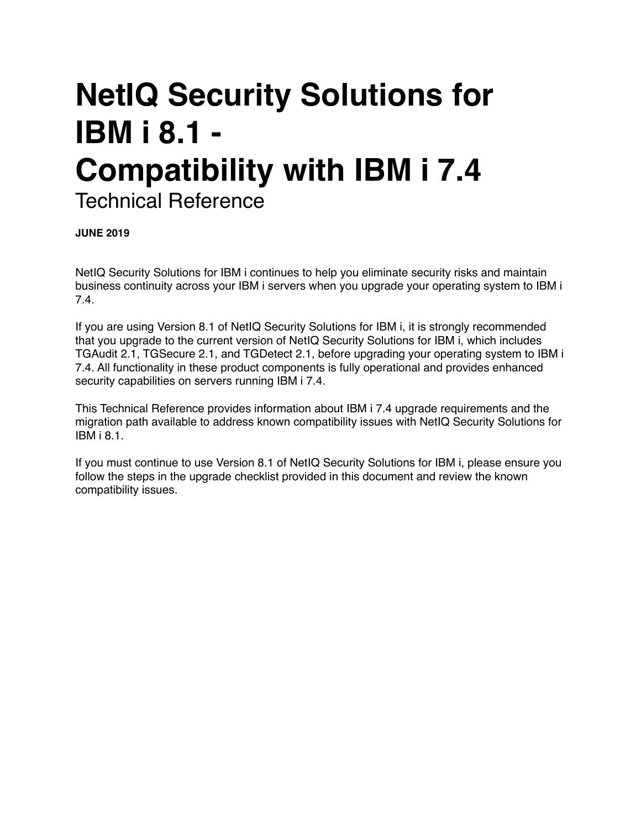# **NetIQ Security Solutions for IBM i 8.1 - Compatibility with IBM i 7.4** Technical Reference

**JUNE 2019**

NetIQ Security Solutions for IBM i continues to help you eliminate security risks and maintain business continuity across your IBM i servers when you upgrade your operating system to IBM i 7.4.

If you are using Version 8.1 of NetIQ Security Solutions for IBM i, it is strongly recommended that you upgrade to the current version of NetIQ Security Solutions for IBM i, which includes TGAudit 2.1, TGSecure 2.1, and TGDetect 2.1, before upgrading your operating system to IBM i 7.4. All functionality in these product components is fully operational and provides enhanced security capabilities on servers running IBM i 7.4.

This Technical Reference provides information about IBM i 7.4 upgrade requirements and the migration path available to address known compatibility issues with NetIQ Security Solutions for IBM i 8.1.

If you must continue to use Version 8.1 of NetIQ Security Solutions for IBM i, please ensure you follow the steps in the upgrade checklist provided in this document and review the known compatibility issues.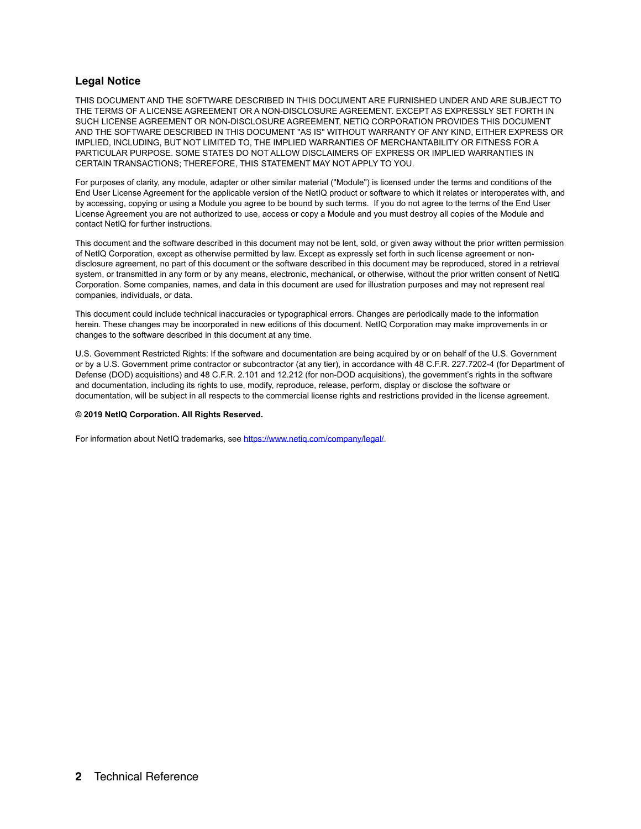#### **Legal Notice**

THIS DOCUMENT AND THE SOFTWARE DESCRIBED IN THIS DOCUMENT ARE FURNISHED UNDER AND ARE SUBJECT TO THE TERMS OF A LICENSE AGREEMENT OR A NON-DISCLOSURE AGREEMENT. EXCEPT AS EXPRESSLY SET FORTH IN SUCH LICENSE AGREEMENT OR NON-DISCLOSURE AGREEMENT, NETIQ CORPORATION PROVIDES THIS DOCUMENT AND THE SOFTWARE DESCRIBED IN THIS DOCUMENT "AS IS" WITHOUT WARRANTY OF ANY KIND, EITHER EXPRESS OR IMPLIED, INCLUDING, BUT NOT LIMITED TO, THE IMPLIED WARRANTIES OF MERCHANTABILITY OR FITNESS FOR A PARTICULAR PURPOSE. SOME STATES DO NOT ALLOW DISCLAIMERS OF EXPRESS OR IMPLIED WARRANTIES IN CERTAIN TRANSACTIONS; THEREFORE, THIS STATEMENT MAY NOT APPLY TO YOU.

For purposes of clarity, any module, adapter or other similar material ("Module") is licensed under the terms and conditions of the End User License Agreement for the applicable version of the NetIQ product or software to which it relates or interoperates with, and by accessing, copying or using a Module you agree to be bound by such terms. If you do not agree to the terms of the End User License Agreement you are not authorized to use, access or copy a Module and you must destroy all copies of the Module and contact NetIQ for further instructions.

This document and the software described in this document may not be lent, sold, or given away without the prior written permission of NetIQ Corporation, except as otherwise permitted by law. Except as expressly set forth in such license agreement or nondisclosure agreement, no part of this document or the software described in this document may be reproduced, stored in a retrieval system, or transmitted in any form or by any means, electronic, mechanical, or otherwise, without the prior written consent of NetIQ Corporation. Some companies, names, and data in this document are used for illustration purposes and may not represent real companies, individuals, or data.

This document could include technical inaccuracies or typographical errors. Changes are periodically made to the information herein. These changes may be incorporated in new editions of this document. NetIQ Corporation may make improvements in or changes to the software described in this document at any time.

U.S. Government Restricted Rights: If the software and documentation are being acquired by or on behalf of the U.S. Government or by a U.S. Government prime contractor or subcontractor (at any tier), in accordance with 48 C.F.R. 227.7202-4 (for Department of Defense (DOD) acquisitions) and 48 C.F.R. 2.101 and 12.212 (for non-DOD acquisitions), the government's rights in the software and documentation, including its rights to use, modify, reproduce, release, perform, display or disclose the software or documentation, will be subject in all respects to the commercial license rights and restrictions provided in the license agreement.

#### **© 2019 NetIQ Corporation. All Rights Reserved.**

For information about NetIQ trademarks, see [https://www.netiq.com/company/legal/.](https://www.netiq.com/company/legal/)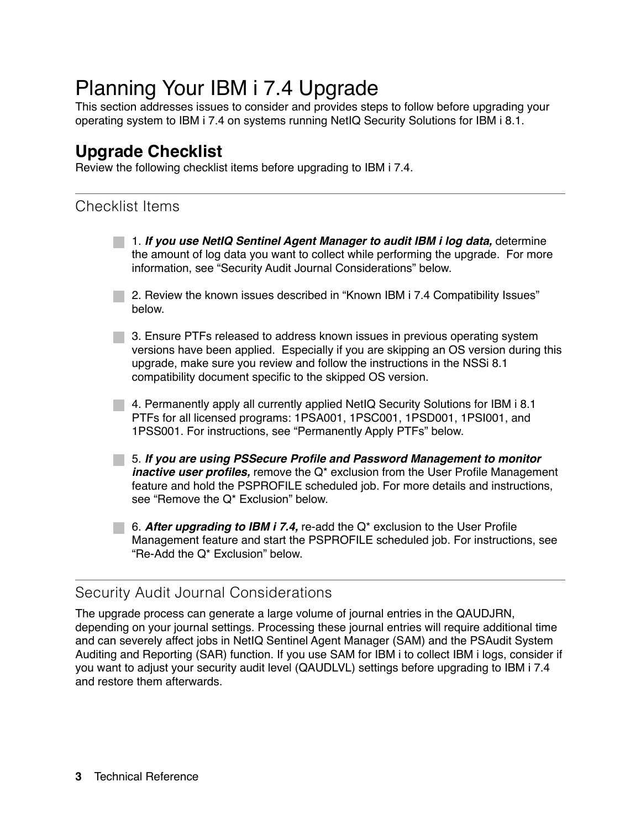## Planning Your IBM i 7.4 Upgrade

This section addresses issues to consider and provides steps to follow before upgrading your operating system to IBM i 7.4 on systems running NetIQ Security Solutions for IBM i 8.1.

## **Upgrade Checklist**

Review the following checklist items before upgrading to IBM i 7.4.

## Checklist Items

1. *If you use NetIQ Sentinel Agent Manager to audit IBM i log data,* determine the amount of log data you want to collect while performing the upgrade. For more information, see "Security Audit Journal Considerations" below.

2. Review the known issues described in "Known IBM i 7.4 Compatibility Issues" below.

3. Ensure PTFs released to address known issues in previous operating system versions have been applied. Especially if you are skipping an OS version during this upgrade, make sure you review and follow the instructions in the NSSi 8.1 compatibility document specific to the skipped OS version.

4. Permanently apply all currently applied NetIQ Security Solutions for IBM i 8.1 PTFs for all licensed programs: 1PSA001, 1PSC001, 1PSD001, 1PSI001, and 1PSS001. For instructions, see "Permanently Apply PTFs" below.

5. *If you are using PSSecure Profile and Password Management to monitor inactive user profiles,* remove the Q\* exclusion from the User Profile Management feature and hold the PSPROFILE scheduled job. For more details and instructions, see "Remove the Q\* Exclusion" below.

6. *After upgrading to IBM i 7.4,* re-add the Q\* exclusion to the User Profile Management feature and start the PSPROFILE scheduled job. For instructions, see "Re-Add the Q\* Exclusion" below.

### Security Audit Journal Considerations

The upgrade process can generate a large volume of journal entries in the QAUDJRN, depending on your journal settings. Processing these journal entries will require additional time and can severely affect jobs in NetIQ Sentinel Agent Manager (SAM) and the PSAudit System Auditing and Reporting (SAR) function. If you use SAM for IBM i to collect IBM i logs, consider if you want to adjust your security audit level (QAUDLVL) settings before upgrading to IBM i 7.4 and restore them afterwards.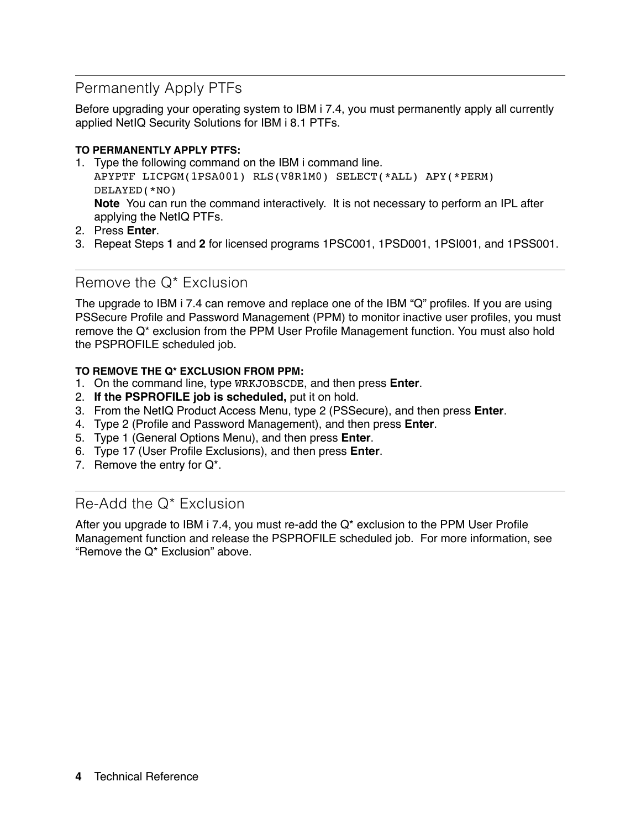### Permanently Apply PTFs

Before upgrading your operating system to IBM i 7.4, you must permanently apply all currently applied NetIQ Security Solutions for IBM i 8.1 PTFs.

#### **TO PERMANENTLY APPLY PTFS:**

- 1. Type the following command on the IBM i command line. APYPTF LICPGM(1PSA001) RLS(V8R1M0) SELECT(\*ALL) APY(\*PERM) DELAYED(\*NO) **Note** You can run the command interactively. It is not necessary to perform an IPL after applying the NetIQ PTFs.
- 2. Press **Enter**.
- 3. Repeat Steps **1** and **2** for licensed programs 1PSC001, 1PSD001, 1PSI001, and 1PSS001.

#### Remove the Q\* Exclusion

The upgrade to IBM i 7.4 can remove and replace one of the IBM "Q" profiles. If you are using PSSecure Profile and Password Management (PPM) to monitor inactive user profiles, you must remove the Q\* exclusion from the PPM User Profile Management function. You must also hold the PSPROFILE scheduled job.

#### **TO REMOVE THE Q\* EXCLUSION FROM PPM:**

- 1. On the command line, type WRKJOBSCDE, and then press **Enter**.
- 2. **If the PSPROFILE job is scheduled,** put it on hold.
- 3. From the NetIQ Product Access Menu, type 2 (PSSecure), and then press **Enter**.
- 4. Type 2 (Profile and Password Management), and then press **Enter**.
- 5. Type 1 (General Options Menu), and then press **Enter**.
- 6. Type 17 (User Profile Exclusions), and then press **Enter**.
- 7. Remove the entry for Q\*.

#### Re-Add the Q\* Exclusion

After you upgrade to IBM i 7.4, you must re-add the Q\* exclusion to the PPM User Profile Management function and release the PSPROFILE scheduled job. For more information, see "Remove the Q\* Exclusion" above.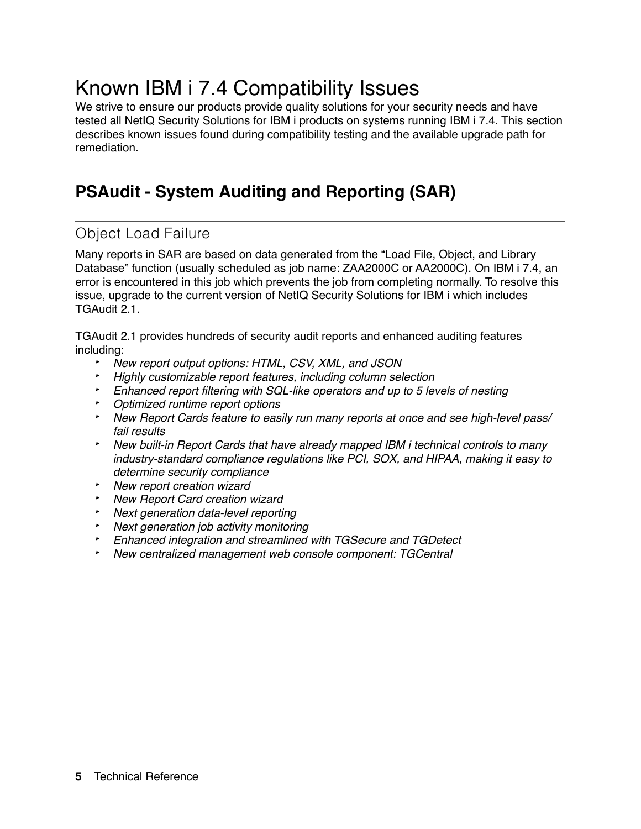## Known IBM i 7.4 Compatibility Issues

We strive to ensure our products provide quality solutions for your security needs and have tested all NetIQ Security Solutions for IBM i products on systems running IBM i 7.4. This section describes known issues found during compatibility testing and the available upgrade path for remediation.

## **PSAudit - System Auditing and Reporting (SAR)**

### Object Load Failure

Many reports in SAR are based on data generated from the "Load File, Object, and Library Database" function (usually scheduled as job name: ZAA2000C or AA2000C). On IBM i 7.4, an error is encountered in this job which prevents the job from completing normally. To resolve this issue, upgrade to the current version of NetIQ Security Solutions for IBM i which includes TGAudit 2.1.

TGAudit 2.1 provides hundreds of security audit reports and enhanced auditing features including:

- ‣ *New report output options: HTML, CSV, XML, and JSON*
- ‣ *Highly customizable report features, including column selection*
- ‣ *Enhanced report filtering with SQL-like operators and up to 5 levels of nesting*
- ‣ *Optimized runtime report options*
- ‣ *New Report Cards feature to easily run many reports at once and see high-level pass/ fail results*
- ‣ *New built-in Report Cards that have already mapped IBM i technical controls to many industry-standard compliance regulations like PCI, SOX, and HIPAA, making it easy to determine security compliance*
- ‣ *New report creation wizard*
- ‣ *New Report Card creation wizard*
- ‣ *Next generation data-level reporting*
- ‣ *Next generation job activity monitoring*
- ‣ *Enhanced integration and streamlined with TGSecure and TGDetect*
- ‣ *New centralized management web console component: TGCentral*